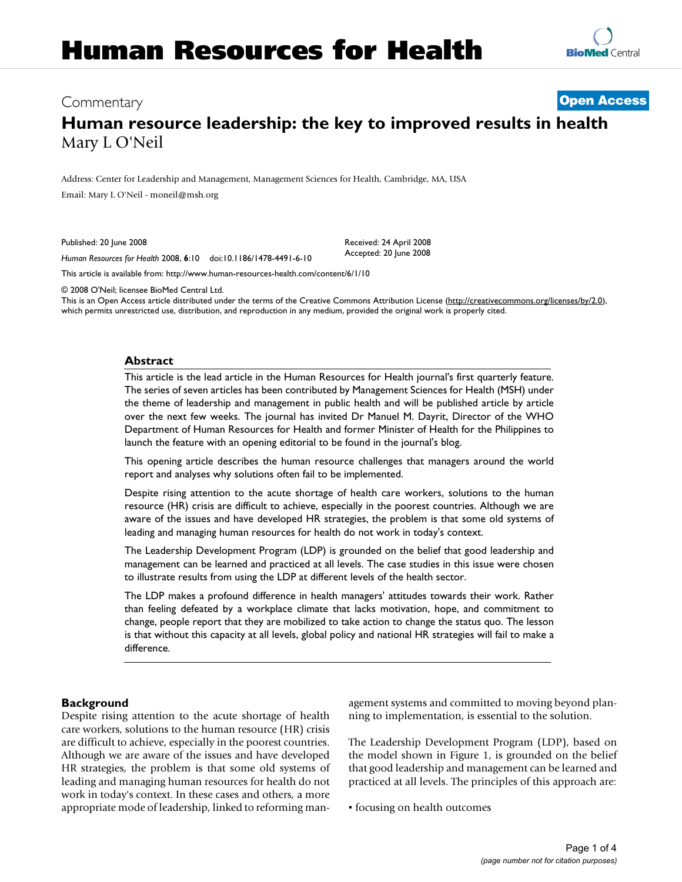# Commentary **[Open Access](http://www.biomedcentral.com/info/about/charter/)**

# **Human resource leadership: the key to improved results in health** Mary L O'Neil

Address: Center for Leadership and Management, Management Sciences for Health, Cambridge, MA, USA Email: Mary L O'Neil - moneil@msh.org

Published: 20 June 2008

Received: 24 April 2008 Accepted: 20 June 2008

*Human Resources for Health* 2008, **6**:10 doi:10.1186/1478-4491-6-10

[This article is available from: http://www.human-resources-health.com/content/6/1/10](http://www.human-resources-health.com/content/6/1/10)

© 2008 O'Neil; licensee BioMed Central Ltd.

This is an Open Access article distributed under the terms of the Creative Commons Attribution License [\(http://creativecommons.org/licenses/by/2.0\)](http://creativecommons.org/licenses/by/2.0), which permits unrestricted use, distribution, and reproduction in any medium, provided the original work is properly cited.

# **Abstract**

This article is the lead article in the Human Resources for Health journal's first quarterly feature. The series of seven articles has been contributed by Management Sciences for Health (MSH) under the theme of leadership and management in public health and will be published article by article over the next few weeks. The journal has invited Dr Manuel M. Dayrit, Director of the WHO Department of Human Resources for Health and former Minister of Health for the Philippines to launch the feature with an opening editorial to be found in the journal's blog.

This opening article describes the human resource challenges that managers around the world report and analyses why solutions often fail to be implemented.

Despite rising attention to the acute shortage of health care workers, solutions to the human resource (HR) crisis are difficult to achieve, especially in the poorest countries. Although we are aware of the issues and have developed HR strategies, the problem is that some old systems of leading and managing human resources for health do not work in today's context.

The Leadership Development Program (LDP) is grounded on the belief that good leadership and management can be learned and practiced at all levels. The case studies in this issue were chosen to illustrate results from using the LDP at different levels of the health sector.

The LDP makes a profound difference in health managers' attitudes towards their work. Rather than feeling defeated by a workplace climate that lacks motivation, hope, and commitment to change, people report that they are mobilized to take action to change the status quo. The lesson is that without this capacity at all levels, global policy and national HR strategies will fail to make a difference.

# **Background**

Despite rising attention to the acute shortage of health care workers, solutions to the human resource (HR) crisis are difficult to achieve, especially in the poorest countries. Although we are aware of the issues and have developed HR strategies, the problem is that some old systems of leading and managing human resources for health do not work in today's context. In these cases and others, a more appropriate mode of leadership, linked to reforming management systems and committed to moving beyond planning to implementation, is essential to the solution.

The Leadership Development Program (LDP), based on the model shown in Figure 1, is grounded on the belief that good leadership and management can be learned and practiced at all levels. The principles of this approach are:

▪ focusing on health outcomes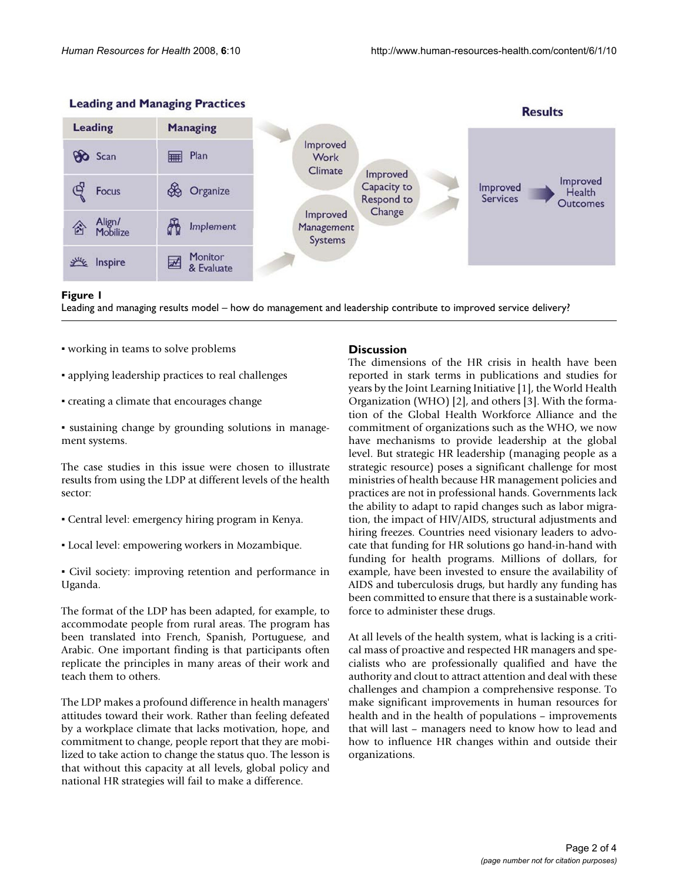

# **Leading and Managing Practices**

#### Leading and managing results model – ho **Figure 1** w do management and leadership contribute to improved service delivery?

Leading and managing results model – how do management and leadership contribute to improved service delivery?

- working in teams to solve problems
- applying leadership practices to real challenges
- creating a climate that encourages change
- sustaining change by grounding solutions in management systems.

The case studies in this issue were chosen to illustrate results from using the LDP at different levels of the health sector:

- Central level: emergency hiring program in Kenya.
- Local level: empowering workers in Mozambique.
- Civil society: improving retention and performance in Uganda.

The format of the LDP has been adapted, for example, to accommodate people from rural areas. The program has been translated into French, Spanish, Portuguese, and Arabic. One important finding is that participants often replicate the principles in many areas of their work and teach them to others.

The LDP makes a profound difference in health managers' attitudes toward their work. Rather than feeling defeated by a workplace climate that lacks motivation, hope, and commitment to change, people report that they are mobilized to take action to change the status quo. The lesson is that without this capacity at all levels, global policy and national HR strategies will fail to make a difference.

# **Discussion**

The dimensions of the HR crisis in health have been reported in stark terms in publications and studies for years by the Joint Learning Initiative [1], the World Health Organization (WHO) [2], and others [3]. With the formation of the Global Health Workforce Alliance and the commitment of organizations such as the WHO, we now have mechanisms to provide leadership at the global level. But strategic HR leadership (managing people as a strategic resource) poses a significant challenge for most ministries of health because HR management policies and practices are not in professional hands. Governments lack the ability to adapt to rapid changes such as labor migration, the impact of HIV/AIDS, structural adjustments and hiring freezes. Countries need visionary leaders to advocate that funding for HR solutions go hand-in-hand with funding for health programs. Millions of dollars, for example, have been invested to ensure the availability of AIDS and tuberculosis drugs, but hardly any funding has been committed to ensure that there is a sustainable workforce to administer these drugs.

At all levels of the health system, what is lacking is a critical mass of proactive and respected HR managers and specialists who are professionally qualified and have the authority and clout to attract attention and deal with these challenges and champion a comprehensive response. To make significant improvements in human resources for health and in the health of populations – improvements that will last – managers need to know how to lead and how to influence HR changes within and outside their organizations.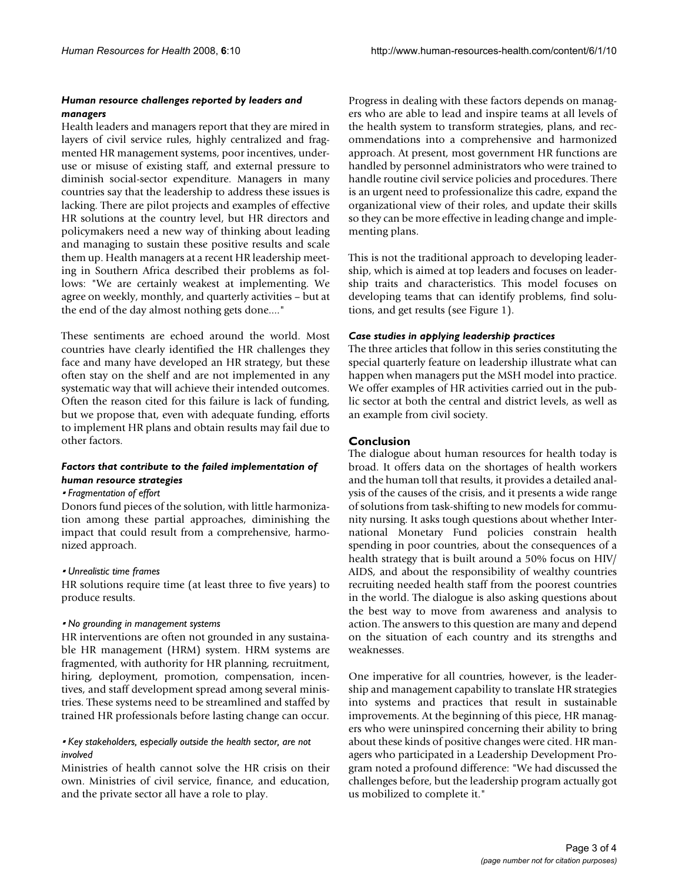#### *Human resource challenges reported by leaders and managers*

Health leaders and managers report that they are mired in layers of civil service rules, highly centralized and fragmented HR management systems, poor incentives, underuse or misuse of existing staff, and external pressure to diminish social-sector expenditure. Managers in many countries say that the leadership to address these issues is lacking. There are pilot projects and examples of effective HR solutions at the country level, but HR directors and policymakers need a new way of thinking about leading and managing to sustain these positive results and scale them up. Health managers at a recent HR leadership meeting in Southern Africa described their problems as follows: "We are certainly weakest at implementing. We agree on weekly, monthly, and quarterly activities – but at the end of the day almost nothing gets done...."

These sentiments are echoed around the world. Most countries have clearly identified the HR challenges they face and many have developed an HR strategy, but these often stay on the shelf and are not implemented in any systematic way that will achieve their intended outcomes. Often the reason cited for this failure is lack of funding, but we propose that, even with adequate funding, efforts to implement HR plans and obtain results may fail due to other factors.

# *Factors that contribute to the failed implementation of human resource strategies*

#### ▪ *Fragmentation of effort*

Donors fund pieces of the solution, with little harmonization among these partial approaches, diminishing the impact that could result from a comprehensive, harmonized approach.

#### ▪ *Unrealistic time frames*

HR solutions require time (at least three to five years) to produce results.

#### ▪ *No grounding in management systems*

HR interventions are often not grounded in any sustainable HR management (HRM) system. HRM systems are fragmented, with authority for HR planning, recruitment, hiring, deployment, promotion, compensation, incentives, and staff development spread among several ministries. These systems need to be streamlined and staffed by trained HR professionals before lasting change can occur.

# ▪ *Key stakeholders, especially outside the health sector, are not involved*

Ministries of health cannot solve the HR crisis on their own. Ministries of civil service, finance, and education, and the private sector all have a role to play.

Progress in dealing with these factors depends on managers who are able to lead and inspire teams at all levels of the health system to transform strategies, plans, and recommendations into a comprehensive and harmonized approach. At present, most government HR functions are handled by personnel administrators who were trained to handle routine civil service policies and procedures. There is an urgent need to professionalize this cadre, expand the organizational view of their roles, and update their skills so they can be more effective in leading change and implementing plans.

This is not the traditional approach to developing leadership, which is aimed at top leaders and focuses on leadership traits and characteristics. This model focuses on developing teams that can identify problems, find solutions, and get results (see Figure 1).

# *Case studies in applying leadership practices*

The three articles that follow in this series constituting the special quarterly feature on leadership illustrate what can happen when managers put the MSH model into practice. We offer examples of HR activities carried out in the public sector at both the central and district levels, as well as an example from civil society.

# **Conclusion**

The dialogue about human resources for health today is broad. It offers data on the shortages of health workers and the human toll that results, it provides a detailed analysis of the causes of the crisis, and it presents a wide range of solutions from task-shifting to new models for community nursing. It asks tough questions about whether International Monetary Fund policies constrain health spending in poor countries, about the consequences of a health strategy that is built around a 50% focus on HIV/ AIDS, and about the responsibility of wealthy countries recruiting needed health staff from the poorest countries in the world. The dialogue is also asking questions about the best way to move from awareness and analysis to action. The answers to this question are many and depend on the situation of each country and its strengths and weaknesses.

One imperative for all countries, however, is the leadership and management capability to translate HR strategies into systems and practices that result in sustainable improvements. At the beginning of this piece, HR managers who were uninspired concerning their ability to bring about these kinds of positive changes were cited. HR managers who participated in a Leadership Development Program noted a profound difference: "We had discussed the challenges before, but the leadership program actually got us mobilized to complete it."